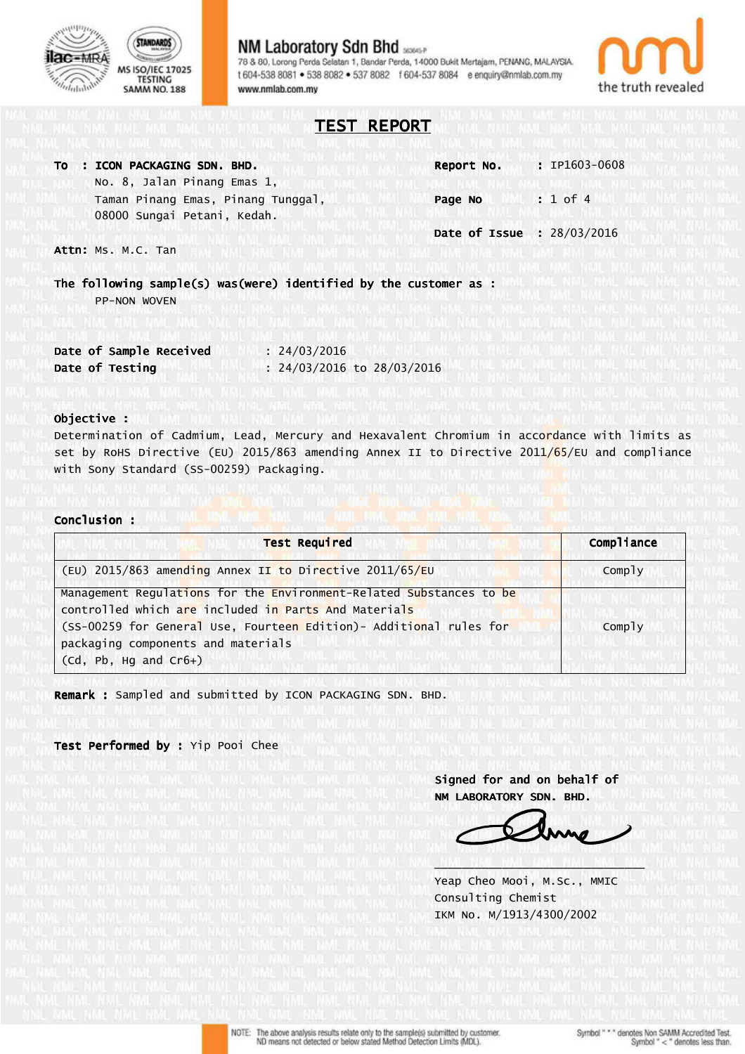

## **NM Laboratory Sdn Bhd** 78 & 80, Lorong Perda Selatan 1, Bandar Perda, 14000 Bukit Mertajam, PENANG, MALAYSIA. t 604-538 8081 . 538 8082 . 537 8082 1 604-537 8084 e enquiry@nmlab.com.my www.nmlab.com.my



TEST REPORT

| TO : ICON PACKAGING SDN. BHD.      | Report No.                 | $: IPI603-0608$ |
|------------------------------------|----------------------------|-----------------|
| No. 8, Jalan Pinang Emas 1,        |                            |                 |
| Taman Pinang Emas, Pinang Tunggal, | Page No                    | $: 1$ of 4      |
| 08000 Sungai Petani, Kedah.        |                            |                 |
|                                    | Date of Issue : 28/03/2016 |                 |
| Attn: Ms. M.C. Tan                 |                            |                 |

The following sample(s) was(were) identified by the customer as : PP-NON WOVEN

| Date of Sample Received | : 24/03/2016               |
|-------------------------|----------------------------|
| Date of Testing         | : 24/03/2016 to 28/03/2016 |

## Objective :

Determination of Cadmium, Lead, Mercury and Hexavalent Chromium in accordance with limits as set by RoHS Directive (EU) 2015/863 amending Annex II to Directive 2011/65/EU and compliance with Sony Standard (SS-00259) Packaging.

#### Conclusion :

ï

| <b>Test Required</b>                                                | Compliance |
|---------------------------------------------------------------------|------------|
| (EU) 2015/863 amending Annex II to Directive 2011/65/EU             | Comply     |
| Management Regulations for the Environment-Related Substances to be |            |
| controlled which are included in Parts And Materials                |            |
| (SS-00259 for General Use, Fourteen Edition) - Additional rules for | Comply     |
| packaging components and materials                                  |            |
| $(cd, Pb, Hg, and Cr6+)$                                            |            |

Remark : Sampled and submitted by ICON PACKAGING SDN. BHD.

Test Performed by : Yip Pooi Chee

Signed for and on behalf of NM LABORATORY SDN. BHD.

 Yeap Cheo Mooi, M.Sc., MMIC Consulting Chemist IKM No. M/1913/4300/2002

\_\_\_\_\_\_\_\_\_\_\_\_\_\_\_\_\_\_\_\_\_\_\_\_\_\_\_\_\_\_\_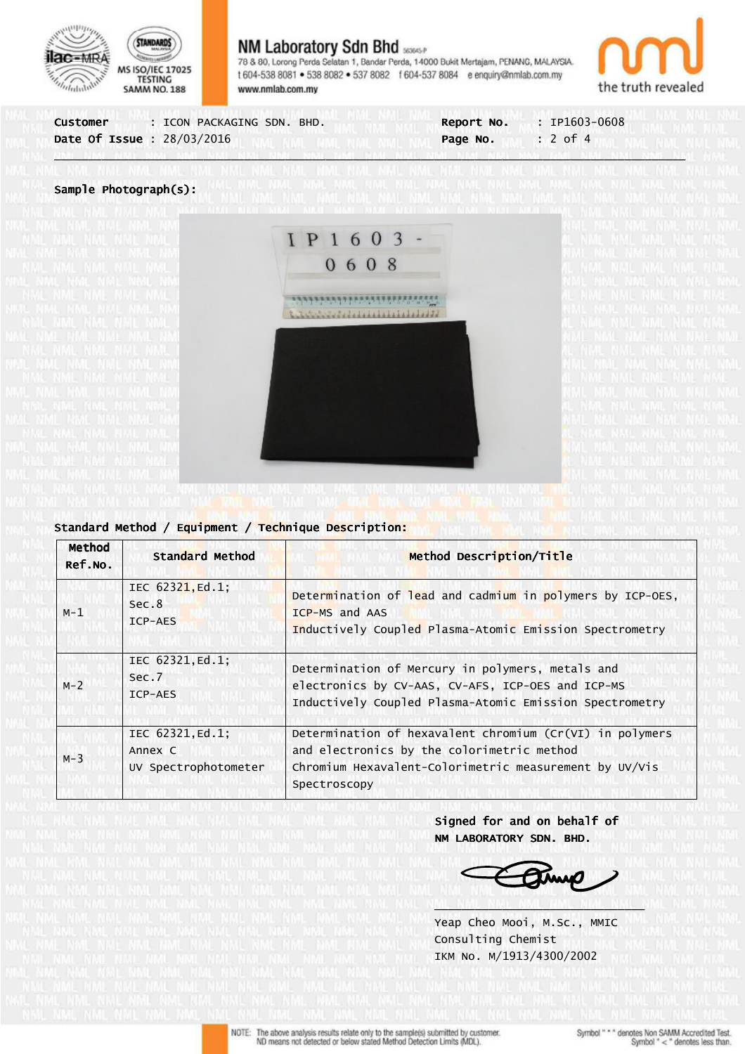

# **NM Laboratory Sdn Bhd seaser**

78 & 80, Lorong Perda Selatan 1, Bandar Perda, 14000 Bukit Mertajam, PENANG, MALAYSIA. t 604-538 8081 . 538 8082 . 537 8082 1 604-537 8084 e enquiry@nmlab.com.my www.nmlab.com.my



| : ICON PACKAGING SDN. BHD.       | $: IP1603-0608$        |
|----------------------------------|------------------------|
| Customer                         | Report No.             |
| <b>Date Of Issue: 28/03/2016</b> | $: 2$ of 4<br>Page No. |

\_\_\_\_\_\_\_\_\_\_\_\_\_\_\_\_\_\_\_\_\_\_\_\_\_\_\_\_\_\_\_\_\_\_\_\_\_\_\_\_\_\_\_\_\_\_\_\_\_\_\_\_\_\_\_\_\_\_\_\_\_\_\_\_\_\_\_\_\_\_\_\_\_\_\_\_\_\_\_\_\_\_\_\_\_\_\_\_\_\_\_\_\_

### Sample Photograph(s):



| Method<br>Ref.No.                               | Standard Method                                     | Method Description/Title                                                                                                                                                           |  |  |
|-------------------------------------------------|-----------------------------------------------------|------------------------------------------------------------------------------------------------------------------------------------------------------------------------------------|--|--|
| $M-1$                                           | IEC 62321, Ed.1;<br>Sec.8<br>ICP-AES                | Determination of lead and cadmium in polymers by ICP-OES,<br>ICP-MS and AAS<br>Inductively Coupled Plasma-Atomic Emission Spectrometry                                             |  |  |
| IEC 62321, Ed.1;<br>Sec.7<br>$M - 2$<br>ICP-AES |                                                     | Determination of Mercury in polymers, metals and<br>electronics by CV-AAS, CV-AFS, ICP-OES and ICP-MS<br>Inductively Coupled Plasma-Atomic Emission Spectrometry                   |  |  |
| $M-3$                                           | IEC 62321, Ed.1;<br>Annex C<br>UV Spectrophotometer | Determination of hexavalent chromium $(Cr(VI)$ in polymers<br>and electronics by the colorimetric method<br>Chromium Hexavalent-Colorimetric measurement by UV/Vis<br>Spectroscopy |  |  |

Standard Method / Equipment / Technique Description:

Signed for and on behalf of NM LABORATORY SDN. BHD.

 Yeap Cheo Mooi, M.Sc., MMIC Consulting Chemist IKM No. M/1913/4300/2002

\_\_\_\_\_\_\_\_\_\_\_\_\_\_\_\_\_\_\_\_\_\_\_\_\_\_\_\_\_\_\_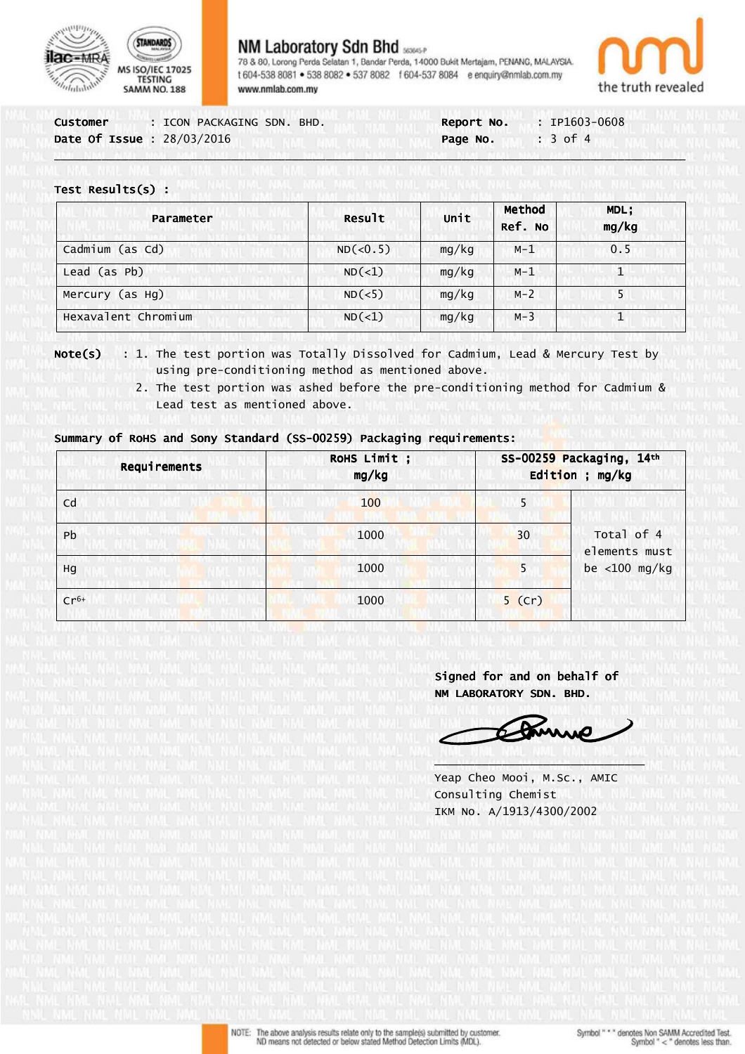



# **NM Laboratory Sdn Bhd** sasser

78 & 80, Lorong Perda Selatan 1, Bandar Perda, 14000 Bukit Mertajam, PENANG, MALAYSIA. t 604-538 8081 . 538 8082 . 537 8082 1 604-537 8084 e enquiry@nmlab.com.my www.nmlab.com.mv



| Customer                   | : ICON PACKAGING SDN. BHD. | <b>Report No.</b> | $: IP1603-0608$     |  |
|----------------------------|----------------------------|-------------------|---------------------|--|
| Date Of Issue : 28/03/2016 |                            | Page No.          | $\therefore$ 3 of 4 |  |
|                            |                            |                   |                     |  |

## Test Results(s) :

| Parameter           | Result   | Unit  | Method<br>Ref. No | MDL;<br>mg/kg |
|---------------------|----------|-------|-------------------|---------------|
| Cadmium (as Cd)     | ND(<0.5) | mg/kg | $M-1$             | 0.5           |
| Lead (as Pb)        | ND(<1)   | mg/kg | $M-1$             |               |
| Mercury (as Hg)     | ND(<5)   | mg/kg | $M-2$             | 5             |
| Hexavalent Chromium | ND(<1)   | mg/kg | $M - 3$           |               |

**Note(s)** : 1. The test portion was Totally Dissolved for Cadmium, Lead & Mercury Test by using pre-conditioning method as mentioned above.

 2. The test portion was ashed before the pre-conditioning method for Cadmium & Lead test as mentioned above.

## Summary of RoHS and Sony Standard (SS-00259) Packaging requirements:

| Requirements | ROHS Limit;<br>mg/kg |          | SS-00259 Packaging, 14th<br>Edition ; mg/kg |  |  |
|--------------|----------------------|----------|---------------------------------------------|--|--|
| Cd           | 100                  | 5        |                                             |  |  |
| Pb           | 1000                 | 30       | Total of 4<br>elements must                 |  |  |
| Hg           | 1000                 | 5        | be $<$ 100 mg/kg                            |  |  |
| $Cr6+$       | 1000                 | $5$ (Cr) |                                             |  |  |

 $\lambda$  and  $\lambda$  and  $\lambda$  and  $\lambda$  and  $\lambda$  and  $\lambda$  and  $\lambda$  and  $\lambda$  and  $\lambda$  and  $\lambda$  and  $\lambda$  and  $\lambda$  and  $\lambda$ 

Signed for and on behalf of NM LABORATORY SDN. BHD.

Camis

 Yeap Cheo Mooi, M.Sc., AMIC Consulting Chemist IKM No. A/1913/4300/2002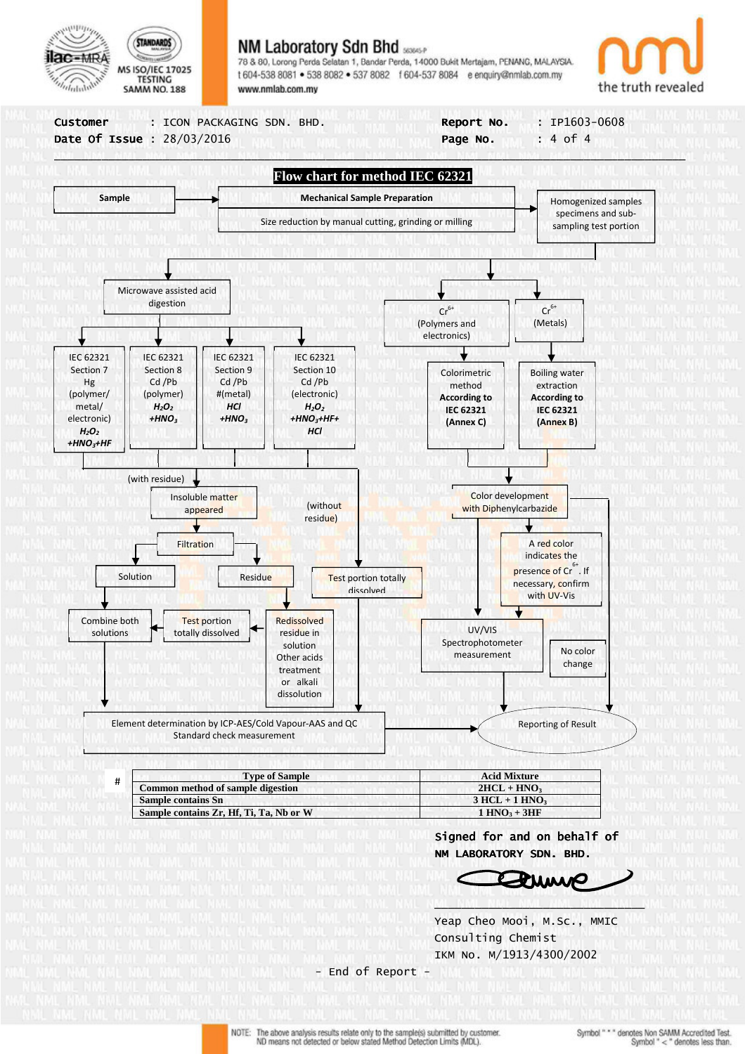

## **NM Laboratory Sdn Bhd**

78 & 80, Lorong Perda Selatan 1, Bandar Perda, 14000 Bukit Mertajam, PENANG, MALAYSIA. t 604-538 8081 . 538 8082 . 537 8082 1 604-537 8084 e enquiry@nmlab.com.my www.nmlab.com.mv





 Consulting Chemist IKM No. M/1913/4300/2002

- End of Report -